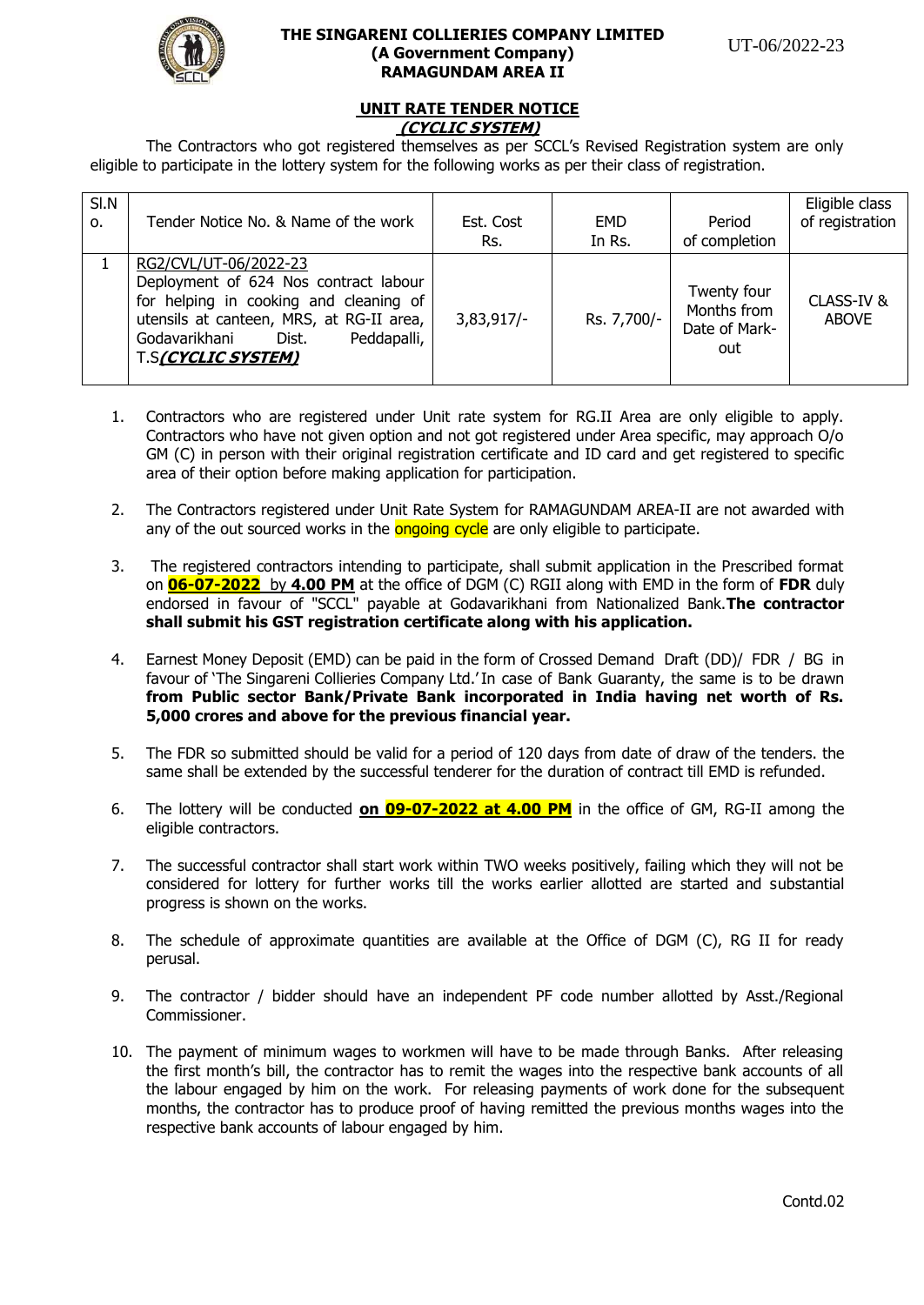

## **THE SINGARENI COLLIERIES COMPANY LIMITED (A Government Company) RAMAGUNDAM AREA II**

#### **UNIT RATE TENDER NOTICE (CYCLIC SYSTEM)**

The Contractors who got registered themselves as per SCCL's Revised Registration system are only eligible to participate in the lottery system for the following works as per their class of registration.

| SI.N | Tender Notice No. & Name of the work                                                                                                                                                                                       | Est. Cost    | EMD         | Period                                             | Eligible class            |
|------|----------------------------------------------------------------------------------------------------------------------------------------------------------------------------------------------------------------------------|--------------|-------------|----------------------------------------------------|---------------------------|
| 0.   |                                                                                                                                                                                                                            | Rs.          | In Rs.      | of completion                                      | of registration           |
|      | RG2/CVL/UT-06/2022-23<br>Deployment of 624 Nos contract labour<br>for helping in cooking and cleaning of<br>utensils at canteen, MRS, at RG-II area,<br>Godavarikhani<br>Peddapalli,<br>Dist.<br><b>T.S(CYCLIC SYSTEM)</b> | $3,83,917/-$ | Rs. 7,700/- | Twenty four<br>Months from<br>Date of Mark-<br>out | CLASS-IV&<br><b>ABOVE</b> |

- 1. Contractors who are registered under Unit rate system for RG.II Area are only eligible to apply. Contractors who have not given option and not got registered under Area specific, may approach O/o GM (C) in person with their original registration certificate and ID card and get registered to specific area of their option before making application for participation.
- 2. The Contractors registered under Unit Rate System for RAMAGUNDAM AREA-II are not awarded with any of the out sourced works in the ongoing cycle are only eligible to participate.
- 3. The registered contractors intending to participate, shall submit application in the Prescribed format on **06-07-2022** by **4.00 PM** at the office of DGM (C) RGII along with EMD in the form of **FDR** duly endorsed in favour of "SCCL" payable at Godavarikhani from Nationalized Bank.**The contractor shall submit his GST registration certificate along with his application.**
- 4. Earnest Money Deposit (EMD) can be paid in the form of Crossed Demand Draft (DD)/ FDR / BG in favour of 'The Singareni Collieries Company Ltd.'In case of Bank Guaranty, the same is to be drawn **from Public sector Bank/Private Bank incorporated in India having net worth of Rs. 5,000 crores and above for the previous financial year.**
- 5. The FDR so submitted should be valid for a period of 120 days from date of draw of the tenders. the same shall be extended by the successful tenderer for the duration of contract till EMD is refunded.
- 6. The lottery will be conducted **on 09-07-2022 at 4.00 PM** in the office of GM, RG-II among the eligible contractors.
- 7. The successful contractor shall start work within TWO weeks positively, failing which they will not be considered for lottery for further works till the works earlier allotted are started and substantial progress is shown on the works.
- 8. The schedule of approximate quantities are available at the Office of DGM (C), RG II for ready perusal.
- 9. The contractor / bidder should have an independent PF code number allotted by Asst./Regional Commissioner.
- 10. The payment of minimum wages to workmen will have to be made through Banks. After releasing the first month's bill, the contractor has to remit the wages into the respective bank accounts of all the labour engaged by him on the work. For releasing payments of work done for the subsequent months, the contractor has to produce proof of having remitted the previous months wages into the respective bank accounts of labour engaged by him.